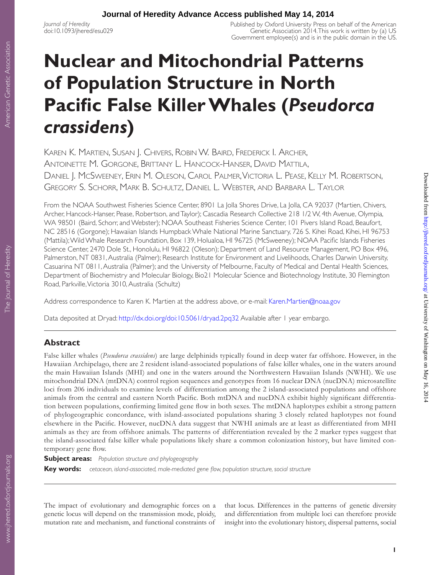www.jhered.oxfordjournals.org

**Journal of Heredity Advance Access published May 14, 2014**

Published by Oxford University Press on behalf of the American Genetic Association 2014. This work is written by (a) US Government employee(s) and is in the public domain in the US.

# **Nuclear and Mitochondrial Patterns of Population Structure in North Pacific False Killer Whales (***Pseudorca crassidens***)**

KAREN K. MARTIEN, SUSAN J. CHIVERS, ROBIN W. BAIRD, FREDERICK I. ARCHER, Antoinette M. Gorgone, Brittany L. Hancock-Hanser, David Mattila, DANIEL J. MCSWEENEY, ERIN M. OLESON, CAROL PALMER, VICTORIA L. PEASE, KELLY M. ROBERTSON, Gregory S. Schorr, Mark B. Schultz, Daniel L. Webster, and Barbara L. Taylor

From the NOAA Southwest Fisheries Science Center, 8901 La Jolla Shores Drive, La Jolla, CA 92037 (Martien, Chivers, Archer, Hancock-Hanser, Pease, Robertson, and Taylor); Cascadia Research Collective 218 1/2 W, 4th Avenue, Olympia, WA 98501 (Baird, Schorr, and Webster); NOAA Southeast Fisheries Science Center, 101 Pivers Island Road, Beaufort, NC 28516 (Gorgone); Hawaiian Islands Humpback Whale National Marine Sanctuary, 726 S. Kihei Road, Kihei, HI 96753 (Mattila); Wild Whale Research Foundation, Box 139, Holualoa, HI 96725 (McSweeney); NOAA Pacific Islands Fisheries Science Center, 2470 Dole St., Honolulu, HI 96822 (Oleson); Department of Land Resource Management, PO Box 496, Palmerston, NT 0831, Australia (Palmer); Research Institute for Environment and Livelihoods, Charles Darwin University, Casuarina NT 0811, Australia (Palmer); and the University of Melbourne, Faculty of Medical and Dental Health Sciences, Department of Biochemistry and Molecular Biology, Bio21 Molecular Science and Biotechnology Institute, 30 Flemington Road, Parkville, Victoria 3010, Australia (Schultz)

Address correspondence to Karen K. Martien at the address above, or e-mail[: Karen.Martien@noaa.gov](mailto:Karen.Martien@noaa.gov?subject=)

Data deposited at Dryad: <http://dx.doi.org/doi:10.5061/dryad.2pq32>Available after 1 year embargo.

# **Abstract**

*Journal of Heredity* doi:10.1093/jhered/esu029

False killer whales (*Pseudorca crassidens*) are large delphinids typically found in deep water far offshore. However, in the Hawaiian Archipelago, there are 2 resident island-associated populations of false killer whales, one in the waters around the main Hawaiian Islands (MHI) and one in the waters around the Northwestern Hawaiian Islands (NWHI). We use mitochondrial DNA (mtDNA) control region sequences and genotypes from 16 nuclear DNA (nucDNA) microsatellite loci from 206 individuals to examine levels of differentiation among the 2 island-associated populations and offshore animals from the central and eastern North Pacific. Both mtDNA and nucDNA exhibit highly significant differentiation between populations, confirming limited gene flow in both sexes. The mtDNA haplotypes exhibit a strong pattern of phylogeographic concordance, with island-associated populations sharing 3 closely related haplotypes not found elsewhere in the Pacific. However, nucDNA data suggest that NWHI animals are at least as differentiated from MHI animals as they are from offshore animals. The patterns of differentiation revealed by the 2 marker types suggest that the island-associated false killer whale populations likely share a common colonization history, but have limited contemporary gene flow.

**Subject areas:** *Population structure and phylogeography*

**Key words:** *cetacean, island-associated, male-mediated gene flow, population structure, social structure*

The impact of evolutionary and demographic forces on a genetic locus will depend on the transmission mode, ploidy, mutation rate and mechanism, and functional constraints of

that locus. Differences in the patterns of genetic diversity and differentiation from multiple loci can therefore provide insight into the evolutionary history, dispersal patterns, social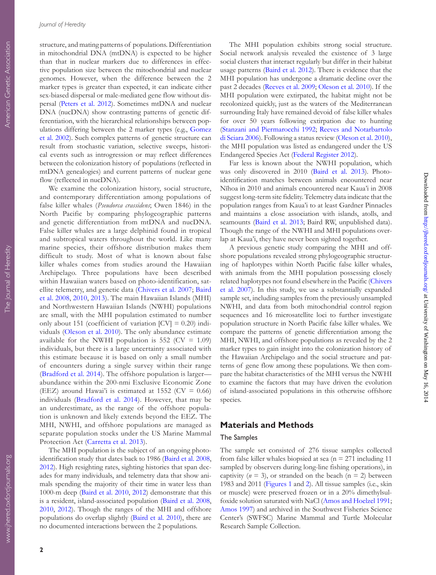*Journal of Heredity*

structure, and mating patterns of populations. Differentiation in mitochondrial DNA (mtDNA) is expected to be higher than that in nuclear markers due to differences in effective population size between the mitochondrial and nuclear genomes. However, when the difference between the 2 marker types is greater than expected, it can indicate either sex-biased dispersal or male-mediated gene flow without dispersal [\(Peters et](#page-15-0) al. 2012). Sometimes mtDNA and nuclear DNA (nucDNA) show contrasting patterns of genetic differentiation, with the hierarchical relationships between populations differing between the 2 marker types (e.g., [Gomez](#page-14-0)  et [al. 2002](#page-14-0)). Such complex patterns of genetic structure can result from stochastic variation, selective sweeps, historical events such as introgression or may reflect differences between the colonization history of populations (reflected in mtDNA genealogies) and current patterns of nuclear gene flow (reflected in nucDNA).

We examine the colonization history, social structure, and contemporary differentiation among populations of false killer whales (*Pseudorca crassidens*; Owen 1846) in the North Pacific by comparing phylogeographic patterns and genetic differentiation from mtDNA and nucDNA. False killer whales are a large delphinid found in tropical and subtropical waters throughout the world. Like many marine species, their offshore distribution makes them difficult to study. Most of what is known about false killer whales comes from studies around the Hawaiian Archipelago. Three populations have been described within Hawaiian waters based on photo-identification, satellite telemetry, and genetic data ([Chivers et](#page-13-0) al. 2007; [Baird](#page-13-1)  et [al. 2008,](#page-13-1) [2010,](#page-13-2) [2013](#page-13-3)). The main Hawaiian Islands (MHI) and Northwestern Hawaiian Islands (NWHI) populations are small, with the MHI population estimated to number only about 151 (coefficient of variation  $[CV] = 0.20$ ) individuals ([Oleson et](#page-14-1) al. 2010). The only abundance estimate available for the NWHI population is 552 ( $CV = 1.09$ ) individuals, but there is a large uncertainty associated with this estimate because it is based on only a small number of encounters during a single survey within their range ([Bradford et](#page-13-4) al. 2014). The offshore population is larger abundance within the 200-nmi Exclusive Economic Zone (EEZ) around Hawai'i is estimated at 1552 (CV =  $0.66$ ) individuals ([Bradford et](#page-13-4) al. 2014). However, that may be an underestimate, as the range of the offshore population is unknown and likely extends beyond the EEZ. The MHI, NWHI, and offshore populations are managed as separate population stocks under the US Marine Mammal Protection Act ([Carretta et](#page-13-5) al. 2013).

The MHI population is the subject of an ongoing photoidentification study that dates back to 1986 ([Baird et](#page-13-1) al. 2008, [2012\)](#page-13-6). High resighting rates, sighting histories that span decades for many individuals, and telemetry data that show animals spending the majority of their time in water less than 1000-m deep ([Baird et](#page-13-2) al. 2010, [2012](#page-13-6)) demonstrate that this is a resident, island-associated population ([Baird et](#page-13-1) al. 2008, [2010,](#page-13-2) [2012](#page-13-6)). Though the ranges of the MHI and offshore populations do overlap slightly ([Baird et](#page-13-2) al. 2010), there are no documented interactions between the 2 populations.

The MHI population exhibits strong social structure. Social network analysis revealed the existence of 3 large social clusters that interact regularly but differ in their habitat usage patterns ([Baird et](#page-13-6) al. 2012). There is evidence that the MHI population has undergone a dramatic decline over the past 2 decades ([Reeves et](#page-15-1) al. 2009; [Oleson et](#page-14-1) al. 2010). If the MHI population were extirpated, the habitat might not be recolonized quickly, just as the waters of the Mediterranean surrounding Italy have remained devoid of false killer whales for over 50 years following extirpation due to hunting ([Stanzani and Piermarocchi 1992](#page-15-2); [Reeves and Notarbartolo](#page-15-3)  [di Sciara 2006\)](#page-15-3). Following a status review [\(Oleson et](#page-14-1) al. 2010), the MHI population was listed as endangered under the US Endangered Species Act ([Federal Register 2012\)](#page-14-2).

Far less is known about the NWHI population, which was only discovered in 2010 ([Baird et](#page-13-3) al. 2013). Photoidentification matches between animals encountered near Nīhoa in 2010 and animals encountered near Kaua'i in 2008 suggest long-term site fidelity. Telemetry data indicate that the population ranges from Kaua'i to at least Gardner Pinnacles and maintains a close association with islands, atolls, and seamounts ([Baird et](#page-13-3) al. 2013; Baird RW, unpublished data). Though the range of the NWHI and MHI populations overlap at Kaua'i, they have never been sighted together.

A previous genetic study comparing the MHI and offshore populations revealed strong phylogeographic structuring of haplotypes within North Pacific false killer whales, with animals from the MHI population possessing closely related haplotypes not found elsewhere in the Pacific ([Chivers](#page-13-0) et [al. 2007](#page-13-0)). In this study, we use a substantially expanded sample set, including samples from the previously unsampled NWHI, and data from both mitochondrial control region sequences and 16 microsatellite loci to further investigate population structure in North Pacific false killer whales. We compare the patterns of genetic differentiation among the MHI, NWHI, and offshore populations as revealed by the 2 marker types to gain insight into the colonization history of the Hawaiian Archipelago and the social structure and patterns of gene flow among these populations. We then compare the habitat characteristics of the MHI versus the NWHI to examine the factors that may have driven the evolution of island-associated populations in this otherwise offshore species.

## **Materials and Methods**

#### The Samples

The sample set consisted of 276 tissue samples collected from false killer whales biopsied at sea ( $n = 271$  including 11 sampled by observers during long-line fishing operations), in captivity  $(n = 3)$ , or stranded on the beach  $(n = 2)$  between 1983 and 2011 ([Figures 1](#page-2-0) and [2](#page-2-1)). All tissue samples (i.e., skin or muscle) were preserved frozen or in a 20% dimethylsulfoxide solution saturated with NaCl ([Amos and Hoelzel 1991](#page-13-7); [Amos 1997](#page-13-8)) and archived in the Southwest Fisheries Science Center's (SWFSC) Marine Mammal and Turtle Molecular Research Sample Collection.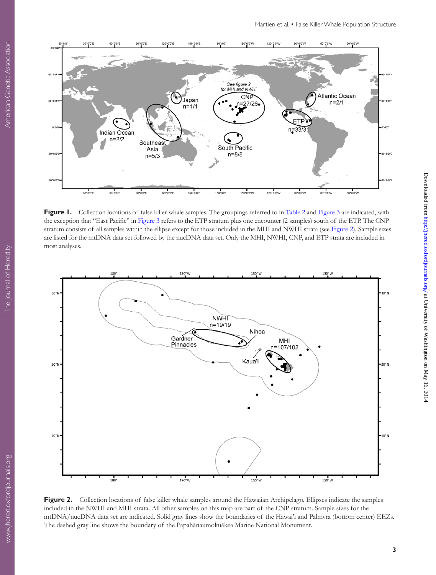

<span id="page-2-0"></span>**Figure 1.** Collection locations of false killer whale samples. The groupings referred to in [Table](#page-9-0) 2 and [Figure 3](#page-7-0) are indicated, with the exception that "East Pacific" in [Figure 3](#page-7-0) refers to the ETP stratum plus one encounter (2 samples) south of the ETP. The CNP stratum consists of all samples within the ellipse except for those included in the MHI and NWHI strata (see [Figure](#page-2-1) 2). Sample sizes are listed for the mtDNA data set followed by the nucDNA data set. Only the MHI, NWHI, CNP, and ETP strata are included in most analyses.



<span id="page-2-1"></span>**Figure 2.** Collection locations of false killer whale samples around the Hawaiian Archipelago. Ellipses indicate the samples included in the NWHI and MHI strata. All other samples on this map are part of the CNP stratum. Sample sizes for the mtDNA/nucDNA data set are indicated. Solid gray lines show the boundaries of the Hawai'i and Palmyra (bottom center) EEZs. The dashed gray line shows the boundary of the Papahānaumokuākea Marine National Monument.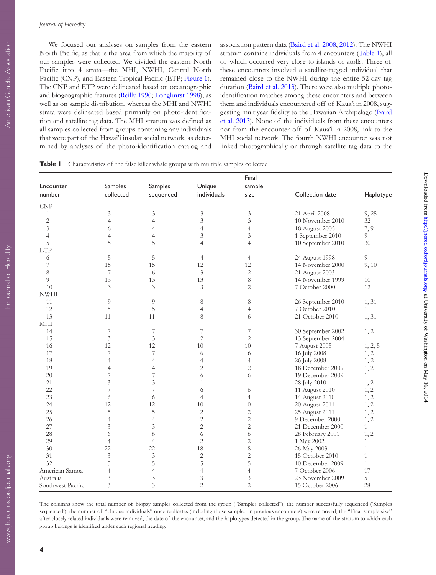We focused our analyses on samples from the eastern North Pacific, as that is the area from which the majority of our samples were collected. We divided the eastern North Pacific into 4 strata—the MHI, NWHI, Central North Pacific (CNP), and Eastern Tropical Pacific (ETP; [Figure](#page-2-0) 1). The CNP and ETP were delineated based on oceanographic and biogeographic features [\(Reilly 1990](#page-15-4); [Longhurst 1998](#page-14-3)), as well as on sample distribution, whereas the MHI and NWHI strata were delineated based primarily on photo-identification and satellite tag data. The MHI stratum was defined as all samples collected from groups containing any individuals that were part of the Hawai'i insular social network, as determined by analyses of the photo-identification catalog and

association pattern data ([Baird et](#page-13-1) al. 2008, [2012](#page-13-6)). The NWHI stratum contains individuals from 4 encounters ([Table](#page-3-0) 1), all of which occurred very close to islands or atolls. Three of these encounters involved a satellite-tagged individual that remained close to the NWHI during the entire 52-day tag duration ([Baird et](#page-13-3) al. 2013). There were also multiple photoidentification matches among these encounters and between them and individuals encountered off of Kaua'i in 2008, suggesting multiyear fidelity to the Hawaiian Archipelago ([Baird](#page-13-3) et [al. 2013](#page-13-3)). None of the individuals from these encounters nor from the encounter off of Kaua'i in 2008, link to the MHI social network. The fourth NWHI encounter was not linked photographically or through satellite tag data to the

<span id="page-3-0"></span>

|  |  | Table I Characteristics of the false killer whale groups with multiple samples collected |  |  |  |
|--|--|------------------------------------------------------------------------------------------|--|--|--|
|--|--|------------------------------------------------------------------------------------------|--|--|--|

| Encounter         | Samples        | Samples                  | Unique         | Final<br>sample |                   |                |
|-------------------|----------------|--------------------------|----------------|-----------------|-------------------|----------------|
| number            | collected      | sequenced                | individuals    | size            | Collection date   | Haplotype      |
| CNP               |                |                          |                |                 |                   |                |
| $\mathbf{1}$      | 3              | 3                        | $\mathfrak{Z}$ | 3               | 21 April 2008     | 9,25           |
| $\overline{2}$    | $\overline{4}$ | $\overline{4}$           | 3              | 3               | 10 November 2010  | $32\,$         |
| $\overline{3}$    | 6              | $\overline{4}$           | $\overline{4}$ | $\overline{4}$  | 18 August 2005    | 7, 9           |
| $\overline{4}$    | $\overline{4}$ | $\overline{4}$           | 3              | 3               | 1 September 2010  | $\overline{9}$ |
| 5                 | 5              | 5                        | $\overline{4}$ | $\overline{4}$  | 10 September 2010 | 30             |
| ETP               |                |                          |                |                 |                   |                |
| 6                 | 5              | 5                        | $\overline{4}$ | $\overline{4}$  | 24 August 1998    | 9              |
| 7                 | 15             | 15                       | 12             | 12              | 14 November 2000  | 9,10           |
| 8                 | 7              | 6                        | 3              | $\overline{2}$  | 21 August 2003    | 11             |
| 9                 | 13             | 13                       | 13             | 8               | 14 November 1999  | 10             |
| 10                | 3              | 3                        | 3              | $\overline{2}$  | 7 October 2000    | 12             |
| <b>NWHI</b>       |                |                          |                |                 |                   |                |
| 11                | 9              | 9                        | 8              | 8               | 26 September 2010 | 1, 31          |
| 12                | 5              | 5                        | 4              | 4               | 7 October 2010    | $\mathbf{1}$   |
| 13                | 11             | 11                       | 8              | 6               | 21 October 2010   | 1, 31          |
| <b>MHI</b>        |                |                          |                |                 |                   |                |
| 14                | 7              | $\overline{\phantom{a}}$ | 7              | 7               | 30 September 2002 | 1, 2           |
| 15                | 3              | 3                        | $\overline{2}$ | $\overline{2}$  | 13 September 2004 | $\mathbf{1}$   |
| 16                | 12             | 12                       | 10             | 10              | 7 August 2005     | 1, 2, 5        |
| 17                | 7              | 7                        | 6              | 6               | 16 July 2008      | 1, 2           |
| 18                | $\overline{4}$ | $\overline{4}$           | $\overline{4}$ | $\overline{4}$  | 26 July 2008      | 1, 2           |
| 19                | $\overline{4}$ | $\overline{4}$           | $\overline{c}$ | $\overline{2}$  | 18 December 2009  | 1, 2           |
| 20                | 7              | $\overline{7}$           | 6              | 6               | 19 December 2009  | $\mathbf{1}$   |
| 21                | 3              | $\mathfrak{Z}$           | $\mathbf{1}$   | $\mathbf{1}$    | 28 July 2010      | 1, 2           |
| 22                | 7              | $\overline{\phantom{a}}$ | 6              | 6               | 11 August 2010    | 1, 2           |
| 23                | 6              | 6                        | $\overline{4}$ | $\overline{4}$  | 14 August 2010    | 1, 2           |
| 24                | 12             | 12                       | 10             | 10              | 20 August 2011    | 1, 2           |
| 25                | 5              | 5                        | $\mathbf{2}$   | $\overline{c}$  | 25 August 2011    | 1, 2           |
| 26                | $\overline{4}$ | $\overline{4}$           | $\mathbf{2}$   | $\overline{c}$  | 9 December 2000   | 1, 2           |
| 27                | $\mathfrak{Z}$ | $\mathfrak{Z}$           | $\overline{c}$ | $\overline{c}$  | 21 December 2000  | $\mathbf{1}$   |
| 28                | 6              | 6                        | 6              | 6               | 28 February 2001  | 1, 2           |
| 29                | $\overline{4}$ | $\overline{4}$           | $\overline{2}$ | $\overline{2}$  | 1 May 2002        | $\mathbf{1}$   |
| 30                | 22             | 22                       | 18             | 18              | 26 May 2003       | $\mathbf{1}$   |
| 31                | $\mathfrak{Z}$ | $\sqrt{3}$               | $\mathbf{2}$   | $\mathbf{2}$    | 15 October 2010   | $\mathbf{1}$   |
| 32                | 5              | 5                        | 5              | 5               | 10 December 2009  | $\mathbf{1}$   |
| American Samoa    | $\overline{4}$ | $\overline{4}$           | $\overline{4}$ | $\overline{4}$  | 7 October 2006    | 17             |
| Australia         | 3              | 3                        | 3              | 3               | 23 November 2009  | 5              |
| Southwest Pacific | 3              | 3                        | $\overline{2}$ | $\overline{c}$  | 15 October 2006   | 28             |

The columns show the total number of biopsy samples collected from the group ("Samples collected"), the number successfully sequenced ('Samples sequenced'), the number of "Unique individuals" once replicates (including those sampled in previous encounters) were removed, the "Final sample size" after closely related individuals were removed, the date of the encounter, and the haplotypes detected in the group. The name of the stratum to which each group belongs is identified under each regional heading.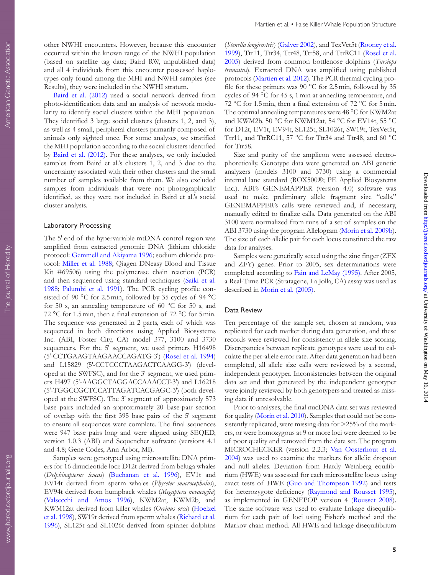www.jhered.oxfordjournals.org

other NWHI encounters. However, because this encounter occurred within the known range of the NWHI population (based on satellite tag data; Baird RW, unpublished data) and all 4 individuals from this encounter possessed haplotypes only found among the MHI and NWHI samples (see Results), they were included in the NWHI stratum.

Baird et [al. \(2012\)](#page-13-6) used a social network derived from photo-identification data and an analysis of network modularity to identify social clusters within the MHI population. They identified 3 large social clusters (clusters 1, 2, and 3), as well as 4 small, peripheral clusters primarily composed of animals only sighted once. For some analyses, we stratified the MHI population according to the social clusters identified by Baird et [al. \(2012\)](#page-13-6). For these analyses, we only included samples from Baird et al.'s clusters 1, 2, and 3 due to the uncertainty associated with their other clusters and the small number of samples available from them. We also excluded samples from individuals that were not photographically identified, as they were not included in Baird et al.'s social cluster analysis.

#### Laboratory Processing

The 5′ end of the hypervariable mtDNA control region was amplified from extracted genomic DNA (lithium chloride protocol: [Gemmell and Akiyama 1996](#page-14-4); sodium chloride protocol: [Miller et](#page-14-5) al. 1988; Qiagen DNeasy Blood and Tissue Kit #69506) using the polymerase chain reaction (PCR) and then sequenced using standard techniques ([Saiki et](#page-15-5) al. [1988](#page-15-5); [Palumbi et](#page-15-6) al. 1991). The PCR cycling profile consisted of 90 °C for 2.5min, followed by 35 cycles of 94 °C for 50 s, an annealing temperature of 60 °C for 50 s, and 72 °C for 1.5min, then a final extension of 72 °C for 5min. The sequence was generated in 2 parts, each of which was sequenced in both directions using Applied Biosystems Inc. (ABI, Foster City, CA) model 377, 3100 and 3730 sequencers. For the 5′ segment, we used primers H16498 (5′-CCTGAAGTAAGAACCAGATG-3′) [\(Rosel et](#page-15-7) al. 1994) and L15829 (5'-CCTCCCTAAGACTCAAGG-3') (developed at the SWFSC), and for the 3′ segment, we used primers H497 (5′-AAGGCTAGGACCAAACCT-3′) and L16218 (5′-TGGCCGCTCCATTAGATCACGAGC-3′) (both developed at the SWFSC). The 3′ segment of approximately 573 base pairs included an approximately 20–base-pair section of overlap with the first 395 base pairs of the 5′ segment to ensure all sequences were complete. The final sequences were 947 base pairs long and were aligned using SEQED, version 1.0.3 (ABI) and Sequencher software (versions 4.1 and 4.8; Gene Codes, Ann Arbor, MI).

Samples were genotyped using microsatellite DNA primers for 16 dinucleotide loci: D12t derived from beluga whales (*Delphinapterus leucas*) ([Buchanan et](#page-13-9) al. 1996), EV1t and EV14t derived from sperm whales (*Physeter macrocephalus*), EV94t derived from humpback whales (*Megaptera novaenglia*) ([Valsecchi and Amos 1996\)](#page-15-8), KWM2at, KWM2b, and KWM12at derived from killer whales (*Orcinus orca*) [\(Hoelzel](#page-14-6)  et [al. 1998\)](#page-14-6), SW19t derived from sperm whales ([Richard et](#page-15-9) al. [1996\)](#page-15-9), SL125t and SL1026t derived from spinner dolphins

(*Stenella longirostris*) ([Galver 2002](#page-14-7)), and TexVet5t ([Rooney et](#page-15-10) al. [1999\)](#page-15-10), Ttr11, Ttr34, Ttr48, Ttr58, and TtrRC11 ([Rosel et](#page-15-11) al. [2005\)](#page-15-11) derived from common bottlenose dolphins (*Tursiops truncatus*). Extracted DNA was amplified using published protocols ([Martien et](#page-14-8) al. 2012). The PCR thermal cycling profile for these primers was 90 °C for 2.5min, followed by 35 cycles of 94 °C for 45 s, 1min at annealing temperature, and 72 °C for 1.5min, then a final extension of 72 °C for 5min. The optimal annealing temperatures were 48 °C for KWM2at and KWM2b, 50 °C for KWM12at, 54 °C for EV14t, 55 °C for D12t, EV1t, EV94t, SL125t, SL1026t, SW19t, TexVet5t, Ttr11, and TtrRC11, 57 °C for Ttr34 and Ttr48, and 60 °C for Ttr58.

Size and purity of the amplicon were assessed electrophoretically. Genotype data were generated on ABI genetic analyzers (models 3100 and 3730) using a commercial internal lane standard (ROX500®; PE Applied Biosystems Inc.). ABI's GENEMAPPER (version 4.0) software was used to make preliminary allele fragment size "calls." GENEMAPPER's calls were reviewed and, if necessary, manually edited to finalize calls. Data generated on the ABI 3100 were normalized from runs of a set of samples on the ABI 3730 using the program Allelogram (Morin et [al. 2009b](#page-14-9)). The size of each allelic pair for each locus constituted the raw data for analyses.

Samples were genetically sexed using the zinc finger (ZFX and ZFY) genes. Prior to 2005, sex determinations were completed according to [Fain and LeMay \(1995\).](#page-14-10) After 2005, a Real-Time PCR (Stratagene, La Jolla, CA) assay was used as described in Morin et [al. \(2005\)](#page-14-11).

#### Data Review

Ten percentage of the sample set, chosen at random, was replicated for each marker during data generation, and these records were reviewed for consistency in allele size scoring. Discrepancies between replicate genotypes were used to calculate the per-allele error rate. After data generation had been completed, all allele size calls were reviewed by a second, independent genotyper. Inconsistencies between the original data set and that generated by the independent genotyper were jointly reviewed by both genotypers and treated as missing data if unresolvable.

Prior to analyses, the final nucDNA data set was reviewed for quality [\(Morin et](#page-14-12) al. 2010). Samples that could not be consistently replicated, were missing data for >25% of the markers, or were homozygous at 9 or more loci were deemed to be of poor quality and removed from the data set. The program MICROCHECKER (version 2.2.3; [Van Oosterhout et](#page-15-12) al. [2004\)](#page-15-12) was used to examine the markers for allelic dropout and null alleles. Deviation from Hardy–Weinberg equilibrium (HWE) was assessed for each microsatellite locus using exact tests of HWE [\(Guo and Thompson 1992](#page-14-13)) and tests for heterozygote deficiency ([Raymond and Rousset 1995](#page-15-13)), as implemented in GENEPOP version 4 ([Rousset 2008\)](#page-15-14). The same software was used to evaluate linkage disequilibrium for each pair of loci using Fisher's method and the Markov chain method. All HWE and linkage disequilibrium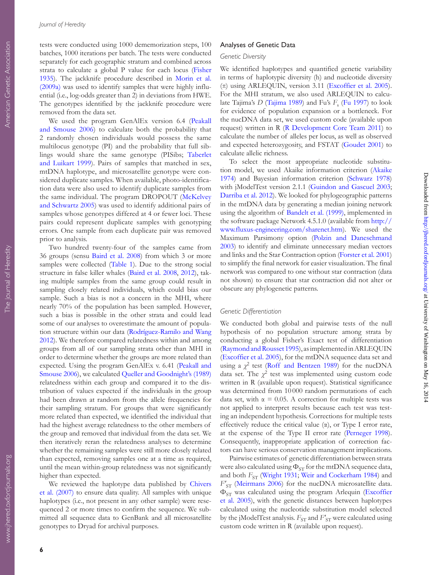tests were conducted using 1000 dememorization steps, 100 batches, 1000 iterations per batch. The tests were conducted separately for each geographic stratum and combined across strata to calculate a global P value for each locus ([Fisher](#page-14-14) [1935\)](#page-14-14). The jackknife procedure described in [Morin et](#page-14-15) al. [\(2009a\)](#page-14-15) was used to identify samples that were highly influential (i.e., log-odds greater than 2) in deviations from HWE. The genotypes identified by the jackknife procedure were removed from the data set.

We used the program GenAlEx version 6.4 ([Peakall](#page-15-15)  [and Smouse 2006](#page-15-15)) to calculate both the probability that 2 randomly chosen individuals would possess the same multilocus genotype (PI) and the probability that full siblings would share the same genotype (PISibs; [Taberlet](#page-15-16)  [and Luikart 1999](#page-15-16)). Pairs of samples that matched in sex, mtDNA haplotype, and microsatellite genotype were considered duplicate samples. When available, photo-identification data were also used to identify duplicate samples from the same individual. The program DROPOUT (McKelvey [and Schwartz 2005](#page-14-16)) was used to identify additional pairs of samples whose genotypes differed at 4 or fewer loci. These pairs could represent duplicate samples with genotyping errors. One sample from each duplicate pair was removed prior to analysis.

Two hundred twenty-four of the samples came from 36 groups (sensu [Baird et](#page-13-1) al. 2008) from which 3 or more samples were collected ([Table](#page-3-0) 1). Due to the strong social structure in false killer whales ([Baird et](#page-13-1) al. 2008, [2012](#page-13-6)), taking multiple samples from the same group could result in sampling closely related individuals, which could bias our sample. Such a bias is not a concern in the MHI, where nearly 70% of the population has been sampled. However, such a bias is possible in the other strata and could lead some of our analyses to overestimate the amount of population structure within our data ([Rodríguez-Ramilo and Wang](#page-15-17)  [2012\)](#page-15-17). We therefore compared relatedness within and among groups from all of our sampling strata other than MHI in order to determine whether the groups are more related than expected. Using the program GenAlEx v. 6.41 ([Peakall and](#page-15-15) [Smouse 2006](#page-15-15)), we calculated [Queller and Goodnight's \(1989\)](#page-15-18) relatedness within each group and compared it to the distribution of values expected if the individuals in the group had been drawn at random from the allele frequencies for their sampling stratum. For groups that were significantly more related than expected, we identified the individual that had the highest average relatedness to the other members of the group and removed that individual from the data set. We then iteratively reran the relatedness analyses to determine whether the remaining samples were still more closely related than expected, removing samples one at a time as required, until the mean within-group relatedness was not significantly higher than expected.

We reviewed the haplotype data published by [Chivers](#page-13-0) et [al. \(2007\)](#page-13-0) to ensure data quality. All samples with unique haplotypes (i.e., not present in any other sample) were resequenced 2 or more times to confirm the sequence. We submitted all sequence data to GenBank and all microsatellite genotypes to Dryad for archival purposes.

#### Analyses of Genetic Data

#### *Genetic Diversity*

We identified haplotypes and quantified genetic variability in terms of haplotypic diversity (h) and nucleotide diversity (π) using ARLEQUIN, version 3.11 [\(Excoffier et](#page-14-17) al. 2005). For the MHI stratum, we also used ARLEQUIN to calculate Tajima's *D* ([Tajima 1989\)](#page-15-19) and Fu's *F*<sub>s</sub> ([Fu 1997](#page-14-18)) to look for evidence of population expansion or a bottleneck. For the nucDNA data set, we used custom code (available upon request) written in R ([R Development Core Team 2011](#page-15-20)) to calculate the number of alleles per locus, as well as observed and expected heterozygosity, and FSTAT ([Goudet 2001\)](#page-14-19) to calculate allelic richness.

To select the most appropriate nucleotide substitution model, we used Akaike information criterion [\(Akaike](#page-13-10) [1974\)](#page-13-10) and Bayesian information criterion [\(Schwarz 1978](#page-15-21)) with jModelTest version 2.1.1 ([Guindon and Gascuel 2003;](#page-14-20) [Darriba et](#page-13-11) al. 2012). We looked for phylogeographic patterns in the mtDNA data by generating a median joining network using the algorithm of [Bandelt et](#page-13-12) al. (1999), implemented in the software package Network 4.5.1.0 (available from [http://](http://www.fluxus-engineering.com/sharenet.htm) [www.fluxus-engineering.com/sharenet.htm\)](http://www.fluxus-engineering.com/sharenet.htm). We used the Maximum Parsimony option [\(Polzin and Daneschmand](#page-15-22) [2003\)](#page-15-22) to identify and eliminate unnecessary median vectors and links and the Star Contraction option ([Forster et](#page-14-21) al. 2001) to simplify the final network for easier visualization. The final network was compared to one without star contraction (data not shown) to ensure that star contraction did not alter or obscure any phylogenetic patterns.

Downloaded from <http://jhered.oxfordjournals.org/> at University of Washington on May 16, 2014

Downloaded from http://jhered.oxfordjournals.org/ at University of Washington on May 16, 2014

#### *Genetic Differentiation*

We conducted both global and pairwise tests of the null hypothesis of no population structure among strata by conducting a global Fisher's Exact test of differentiation ([Raymond and Rousset 1995](#page-15-13)), as implemented in ARLEQUIN ([Excoffier et](#page-14-17) al. 2005), for the mtDNA sequence data set and using a  $\chi^2$  test ([Roff and Bentzen 1989](#page-15-23)) for the nucDNA data set. The  $\chi^2$  test was implemented using custom code written in R (available upon request). Statistical significance was determined from 10 000 random permutations of each data set, with  $\alpha = 0.05$ . A correction for multiple tests was not applied to interpret results because each test was testing an independent hypothesis. Corrections for multiple tests effectively reduce the critical value  $(\alpha)$ , or Type I error rate, at the expense of the Type II error rate ([Perneger 1998](#page-15-24)). Consequently, inappropriate application of correction factors can have serious conservation management implications.

Pairwise estimates of genetic differentiation between strata were also calculated using  $\Phi_{ST}$  for the mtDNA sequence data, and both *F<sub>ST</sub>* ([Wright 1931](#page-15-25); [Weir and Cockerham 1984](#page-15-26)) and *F'*<sub>ST</sub> [\(Meirmans 2006](#page-14-22)) for the nucDNA microsatellite data.  $\Phi_{ST}$  was calculated using the program Arlequin ([Excoffier](#page-14-17) et [al. 2005\)](#page-14-17), with the genetic distances between haplotypes calculated using the nucleotide substitution model selected by the jModelTest analysis.  $F_{ST}$  and  $F'_{ST}$  were calculated using custom code written in R (available upon request).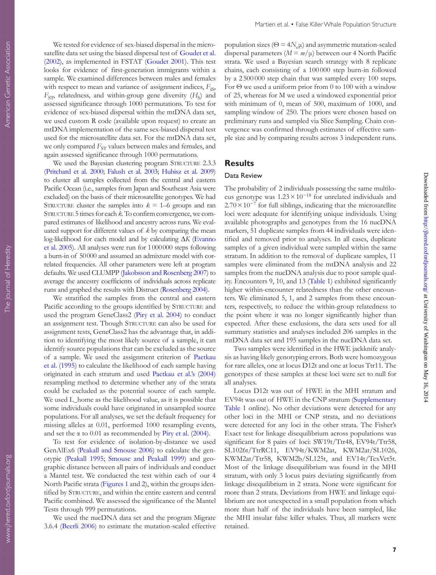We tested for evidence of sex-biased dispersal in the microsatellite data set using the biased dispersal test of [Goudet et](#page-14-23) al. [\(2002\)](#page-14-23), as implemented in FSTAT ([Goudet 2001](#page-14-19)). This test looks for evidence of first-generation immigrants within a sample. We examined differences between males and females with respect to mean and variance of assignment indices, *F*<sub>IS</sub>,  $F_{ST}$ , relatedness, and within-group gene diversity  $(H_S)$  and assessed significance through 1000 permutations. To test for evidence of sex-biased dispersal within the mtDNA data set, we used custom R code (available upon request) to create an mtDNA implementation of the same sex-biased dispersal test used for the microsatellite data set. For the mtDNA data set, we only compared *F*<sub>ST</sub> values between males and females, and again assessed significance through 1000 permutations.

We used the Bayesian clustering program STRUCTURE 2.3.3 ([Pritchard et](#page-15-27) al. 2000; [Falush et](#page-14-24) al. 2003; [Hubisz et](#page-14-25) al. 2009) to cluster all samples collected from the central and eastern Pacific Ocean (i.e., samples from Japan and Southeast Asia were excluded) on the basis of their microsatellite genotypes. We had STRUCTURE cluster the samples into  $k = 1-6$  groups and ran STRUCTURE 5 times for each  $k$ . To confirm convergence, we compared estimates of likelihood and ancestry across runs. We evaluated support for different values of *k* by comparing the mean log-likelihood for each model and by calculating ∆*K* ([Evanno](#page-14-26)  et [al. 2005](#page-14-26)). All analyses were run for 1000000 steps following a burn-in of 50000 and assumed an admixture model with correlated frequencies. All other parameters were left at program defaults. We used CLUMPP [\(Jakobsson and Rosenberg 2007](#page-14-27)) to average the ancestry coefficients of individuals across replicate runs and graphed the results with Distruct ([Rosenberg 2004](#page-15-28)).

We stratified the samples from the central and eastern Pacific according to the groups identified by STRUCTURE and used the program GeneClass2 (Piry et [al. 2004](#page-15-29)) to conduct an assignment test. Though STRUCTURE can also be used for assignment tests, GeneClass2 has the advantage that, in addition to identifying the most likely source of a sample, it can identify source populations that can be excluded as the source of a sample. We used the assignment criterion of [Paetkau](#page-14-28) et [al. \(1995\)](#page-14-28) to calculate the likelihood of each sample having originated in each stratum and used Paetkau et [al.'s \(2004\)](#page-14-29) resampling method to determine whether any of the strata could be excluded as the potential source of each sample. We used L\_home as the likelihood value, as it is possible that some individuals could have originated in unsampled source populations. For all analyses, we set the default frequency for missing alleles at 0.01, performed 1000 resampling events, and set the  $\alpha$  to 0.01 as recommended by Piry et [al. \(2004\).](#page-15-29)

To test for evidence of isolation-by-distance we used GenAlEx6 ([Peakall and Smouse 2006\)](#page-15-15) to calculate the genotypic ([Peakall 1995](#page-15-30); [Smouse and Peakall 1999](#page-15-31)) and geographic distance between all pairs of individuals and conduct a Mantel test. We conducted the test within each of our 4 North Pacific strata ([Figures 1](#page-2-0) and [2\)](#page-2-1), within the groups identified by STRUCTURE, and within the entire eastern and central Pacific combined. We assessed the significance of the Mantel Tests through 999 permutations.

We used the nucDNA data set and the program Migrate 3.6.4 ([Beerli 2006](#page-13-13)) to estimate the mutation-scaled effective

population sizes ( $\Theta = 4N_e\mu$ ) and asymmetric mutation-scaled dispersal parameters  $(M = m/\mu)$  between our 4 North Pacific strata. We used a Bayesian search strategy with 8 replicate chains, each consisting of a 100 000 step burn-in followed by a 2 500 000 step chain that was sampled every 100 steps. For Θ we used a uniform prior from 0 to 100 with a window of 25, whereas for M we used a windowed exponential prior with minimum of 0, mean of 500, maximum of 1000, and sampling window of 250. The priors were chosen based on preliminary runs and sampled via Slice Sampling. Chain convergence was confirmed through estimates of effective sample size and by comparing results across 3 independent runs.

## **Results**

### Data Review

The probability of 2 individuals possessing the same multilocus genotype was  $1.23 \times 10^{-18}$  for unrelated individuals and  $2.70 \times 10^{-7}$  for full siblings, indicating that the microsatellite loci were adequate for identifying unique individuals. Using available photographs and genotypes from the 16 nucDNA markers, 51 duplicate samples from 44 individuals were identified and removed prior to analyses. In all cases, duplicate samples of a given individual were sampled within the same stratum. In addition to the removal of duplicate samples, 11 samples were eliminated from the mtDNA analysis and 22 samples from the nucDNA analysis due to poor sample quality. Encounters 9, 10, and 13 ([Table](#page-3-0) 1) exhibited significantly higher within-encounter relatedness than the other encounters. We eliminated 5, 1, and 2 samples from these encounters, respectively, to reduce the within-group relatedness to the point where it was no longer significantly higher than expected. After these exclusions, the data sets used for all summary statistics and analyses included 206 samples in the mtDNA data set and 195 samples in the nucDNA data set.

Two samples were identified in the HWE jackknife analysis as having likely genotyping errors. Both were homozygous for rare alleles, one at locus D12t and one at locus Ttr11. The genotypes of these samples at these loci were set to null for all analyses.

Locus D12t was out of HWE in the MHI stratum and EV94t was out of HWE in the CNP stratum ([Supplementary](http://jhered.oxfordjournals.org/lookup/suppl/doi:10.1093/jhered/esu029/-/DC1) [Table](http://jhered.oxfordjournals.org/lookup/suppl/doi:10.1093/jhered/esu029/-/DC1) 1 online). No other deviations were detected for any other loci in the MHI or CNP strata, and no deviations were detected for any loci in the other strata. The Fisher's Exact test for linkage disequilibrium across populations was significant for 8 pairs of loci: SW19t/Ttr48, EV94t/Ttr58, SL1026t/TtrRC11, EV94t/KWM2at, KWM2at/SL1026, KWM2at/Ttr58, KWM2b/SL125t, and EV14t/TexVet5t. Most of the linkage disequilibrium was found in the MHI stratum, with only 3 locus pairs deviating significantly from linkage disequilibrium in 2 strata. None were significant for more than 2 strata. Deviations from HWE and linkage equilibrium are not unexpected in a small population from which more than half of the individuals have been sampled, like the MHI insular false killer whales. Thus, all markers were retained.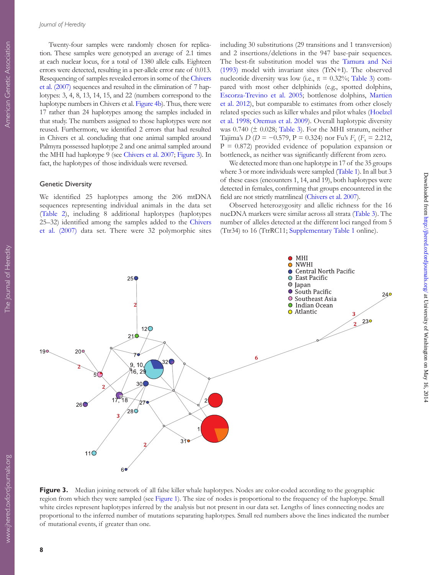Twenty-four samples were randomly chosen for replication. These samples were genotyped an average of 2.1 times at each nuclear locus, for a total of 1380 allele calls. Eighteen errors were detected, resulting in a per-allele error rate of 0.013. Resequencing of samples revealed errors in some of the [Chivers](#page-13-0)  et [al. \(2007\)](#page-13-0) sequences and resulted in the elimination of 7 haplotypes: 3, 4, 8, 13, 14, 15, and 22 (numbers correspond to the haplotype numbers in Chivers et al. [Figure](#page-8-0) 4b). Thus, there were 17 rather than 24 haplotypes among the samples included in that study. The numbers assigned to those haplotypes were not reused. Furthermore, we identified 2 errors that had resulted in Chivers et al. concluding that one animal sampled around Palmyra possessed haplotype 2 and one animal sampled around the MHI had haplotype 9 (see [Chivers et](#page-13-0) al. 2007; [Figure](#page-7-0) 3). In fact, the haplotypes of those individuals were reversed.

#### Genetic Diversity

We identified 25 haplotypes among the 206 mtDNA sequences representing individual animals in the data set ([Table](#page-9-0) 2), including 8 additional haplotypes (haplotypes 25–32) identified among the samples added to the [Chivers](#page-13-0) et [al. \(2007\)](#page-13-0) data set. There were 32 polymorphic sites including 30 substitutions (29 transitions and 1 transversion) and 2 insertions/deletions in the 947 base-pair sequences. The best-fit substitution model was the [Tamura and Nei](#page-15-32) [\(1993\)](#page-15-32) model with invariant sites (TrN+I). The observed nucleotide diversity was low (i.e.,  $\pi = 0.32\%$ ; [Table](#page-9-1) 3) compared with most other delphinids (e.g., spotted dolphins, [Escorza-Trevino et](#page-13-14) al. 2005; bottlenose dolphins, [Martien](#page-14-8) et [al. 2012](#page-14-8)), but comparable to estimates from other closely related species such as killer whales and pilot whales [\(Hoelzel](#page-14-6) et [al. 1998](#page-14-6); [Oremus et](#page-14-30) al. 2009). Overall haplotypic diversity was  $0.740$  ( $\pm$  0.028; [Table](#page-9-1) 3). For the MHI stratum, neither Tajima's *D* ( $D = -0.579$ ,  $P = 0.324$ ) nor Fu's  $F_s$  ( $F_s = 2.212$ ,  $P = 0.872$ ) provided evidence of population expansion or bottleneck, as neither was significantly different from zero.

We detected more than one haplotype in 17 of the 35 groups where 3 or more individuals were sampled ([Table](#page-3-0) 1). In all but 3 of these cases (encounters 1, 14, and 19), both haplotypes were detected in females, confirming that groups encountered in the field are not strictly matrilineal ([Chivers et](#page-13-0) al. 2007).

Observed heterozygosity and allelic richness for the 16 nucDNA markers were similar across all strata ([Table](#page-9-1) 3). The number of alleles detected at the different loci ranged from 5 (Ttr34) to 16 (TtrRC11; [Supplementary Table 1](http://jhered.oxfordjournals.org/lookup/suppl/doi:10.1093/jhered/esu029/-/DC1) online).



<span id="page-7-0"></span>

The Journal of Heredity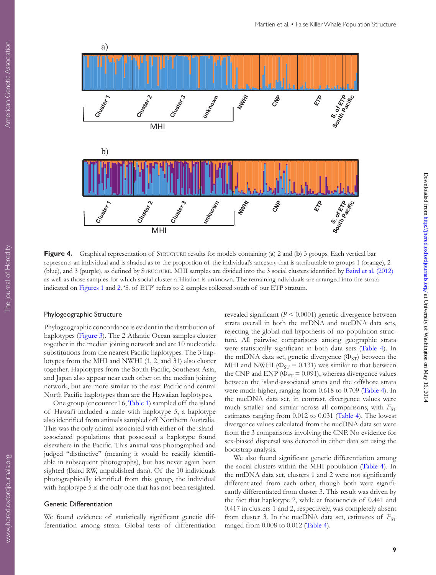

<span id="page-8-0"></span>Figure 4. Graphical representation of STRUCTURE results for models containing (a) 2 and (b) 3 groups. Each vertical bar represents an individual and is shaded as to the proportion of the individual's ancestry that is attributable to groups 1 (orange), 2 (blue), and 3 (purple), as defined by Structure. MHI samples are divided into the 3 social clusters identified by Baird et [al. \(2012\)](#page-13-6) as well as those samples for which social cluster affiliation is unknown. The remaining ndividuals are arranged into the strata indicated on [Figures 1](#page-2-0) and [2](#page-2-1). 'S. of ETP' refers to 2 samples collected south of our ETP stratum.

#### Phylogeographic Structure

Phylogeographic concordance is evident in the distribution of haplotypes [\(Figure](#page-7-0) 3). The 2 Atlantic Ocean samples cluster together in the median joining network and are 10 nucleotide substitutions from the nearest Pacific haplotypes. The 3 haplotypes from the MHI and NWHI (1, 2, and 31) also cluster together. Haplotypes from the South Pacific, Southeast Asia, and Japan also appear near each other on the median joining network, but are more similar to the east Pacific and central North Pacific haplotypes than are the Hawaiian haplotypes.

One group (encounter 16, [Table](#page-3-0) 1) sampled off the island of Hawai'i included a male with haplotype 5, a haplotype also identified from animals sampled off Northern Australia. This was the only animal associated with either of the islandassociated populations that possessed a haplotype found elsewhere in the Pacific. This animal was photographed and judged "distinctive" (meaning it would be readily identifiable in subsequent photographs), but has never again been sighted (Baird RW, unpublished data). Of the 10 individuals photographically identified from this group, the individual with haplotype 5 is the only one that has not been resighted.

#### Genetic Differentiation

We found evidence of statistically significant genetic differentiation among strata. Global tests of differentiation revealed significant (*P* < 0.0001) genetic divergence between strata overall in both the mtDNA and nucDNA data sets, rejecting the global null hypothesis of no population structure. All pairwise comparisons among geographic strata were statistically significant in both data sets [\(Table](#page-10-0) 4). In the mtDNA data set, genetic divergence  $(\Phi_{ST})$  between the MHI and NWHI ( $\Phi_{ST} = 0.131$ ) was similar to that between the CNP and ENP ( $\Phi_{ST}$  = 0.091), whereas divergence values between the island-associated strata and the offshore strata were much higher, ranging from 0.618 to 0.709 ([Table](#page-10-0) 4). In the nucDNA data set, in contrast, divergence values were much smaller and similar across all comparisons, with  $F_{ST}$ estimates ranging from 0.012 to 0.031 ([Table](#page-10-0) 4). The lowest divergence values calculated from the nucDNA data set were from the 3 comparisons involving the CNP. No evidence for sex-biased dispersal was detected in either data set using the bootstrap analysis.

We also found significant genetic differentiation among the social clusters within the MHI population ([Table](#page-10-0) 4). In the mtDNA data set, clusters 1 and 2 were not significantly differentiated from each other, though both were significantly differentiated from cluster 3. This result was driven by the fact that haplotype 2, while at frequencies of 0.441 and 0.417 in clusters 1 and 2, respectively, was completely absent from cluster 3. In the nucDNA data set, estimates of  $F_{ST}$ ranged from 0.008 to 0.012 ([Table](#page-10-0) 4).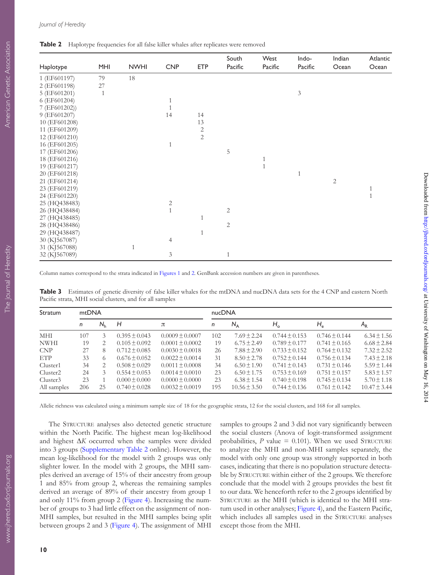|               |              |             |                                       |               | South          | West         | Indo-          | Indian         | Atlantic     |
|---------------|--------------|-------------|---------------------------------------|---------------|----------------|--------------|----------------|----------------|--------------|
| Haplotype     | MHI          | <b>NWHI</b> | <b>CNP</b>                            | <b>ETP</b>    | Pacific        | Pacific      | Pacific        | Ocean          | Ocean        |
| 1 (EF601197)  | 79           | 18          |                                       |               |                |              |                |                |              |
| 2 (EF601198)  | 27           |             |                                       |               |                |              |                |                |              |
| 5 (EF601201)  | $\mathbf{1}$ |             |                                       |               |                |              | $\mathfrak{Z}$ |                |              |
| 6 (EF601204)  |              |             | 1                                     |               |                |              |                |                |              |
| 7 (EF601202)) |              |             | $\mathbf{1}$                          |               |                |              |                |                |              |
| 9 (EF601207)  |              |             | 14                                    | 14            |                |              |                |                |              |
| 10 (EF601208) |              |             |                                       | 13            |                |              |                |                |              |
| 11 (EF601209) |              |             |                                       | $\frac{2}{2}$ |                |              |                |                |              |
| 12 (EF601210) |              |             |                                       |               |                |              |                |                |              |
| 16 (EF601205) |              |             | $\mathbf{1}$                          |               |                |              |                |                |              |
| 17 (EF601206) |              |             |                                       |               | 5              |              |                |                |              |
| 18 (EF601216) |              |             |                                       |               |                | $\mathbf{1}$ |                |                |              |
| 19 (EF601217) |              |             |                                       |               |                | $\mathbf{1}$ |                |                |              |
| 20 (EF601218) |              |             |                                       |               |                |              | $\mathbf{1}$   |                |              |
| 21 (EF601214) |              |             |                                       |               |                |              |                | $\overline{2}$ |              |
| 23 (EF601219) |              |             |                                       |               |                |              |                |                | 1            |
| 24 (EF601220) |              |             |                                       |               |                |              |                |                | $\mathbf{1}$ |
| 25 (HQ438483) |              |             | $\begin{array}{c} 2 \\ 1 \end{array}$ |               |                |              |                |                |              |
| 26 (HQ438484) |              |             |                                       |               | $\mathbf{2}$   |              |                |                |              |
| 27 (HQ438485) |              |             |                                       | $\mathbf{1}$  |                |              |                |                |              |
| 28 (HQ438486) |              |             |                                       |               | $\overline{c}$ |              |                |                |              |
| 29 (HQ438487) |              |             |                                       | 1             |                |              |                |                |              |
| 30 (KJ567087) |              |             | $\overline{4}$                        |               |                |              |                |                |              |
| 31 (KJ567088) |              | 1           |                                       |               |                |              |                |                |              |
| 32 (KJ567089) |              |             | $\mathfrak{Z}$                        |               | $\mathbf{1}$   |              |                |                |              |

#### <span id="page-9-0"></span>Table 2 Haplotype frequencies for all false killer whales after replicates were removed

Column names correspond to the strata indicated in [Figures 1](#page-2-0) and [2](#page-2-1). GenBank accession numbers are given in parentheses.

<span id="page-9-1"></span>**Table 3** Estimates of genetic diversity of false killer whales for the mtDNA and nucDNA data sets for the 4 CNP and eastern North Pacific strata, MHI social clusters, and for all samples

| <b>Stratum</b>       | mtDNA |             |                   |                     | nucDNA |                  |                   |                   |                  |  |
|----------------------|-------|-------------|-------------------|---------------------|--------|------------------|-------------------|-------------------|------------------|--|
|                      | n     | $N_{\rm h}$ | Н                 | π                   | n      | $N_A$            | $H_{\rm o}$       | $H_{\rm e}$       | $A_R$            |  |
| MHI                  | 107   | 3           | $0.395 \pm 0.043$ | $0.0009 \pm 0.0007$ | 102    | $7.69 \pm 2.24$  | $0.744 \pm 0.153$ | $0.746 \pm 0.144$ | $6.34 \pm 1.56$  |  |
| <b>NWHI</b>          | 19    | $2^{\circ}$ | $0.105 \pm 0.092$ | $0.0001 \pm 0.0002$ | 19     | $6.75 \pm 2.49$  | $0.789 \pm 0.177$ | $0.741 \pm 0.165$ | $6.68 \pm 2.84$  |  |
| <b>CNP</b>           | 27    | 8           | $0.712 \pm 0.085$ | $0.0030 \pm 0.0018$ | 26     | $7.88 \pm 2.90$  | $0.733 \pm 0.152$ | $0.764 \pm 0.132$ | $7.32 \pm 2.52$  |  |
| <b>ETP</b>           | 33    | 6           | $0.676 \pm 0.052$ | $0.0022 \pm 0.0014$ | 31     | $8.50 \pm 2.78$  | $0.752 \pm 0.144$ | $0.756 \pm 0.134$ | $7.43 \pm 2.18$  |  |
| Cluster1             | 34    | 2           | $0.508 \pm 0.029$ | $0.0011 \pm 0.0008$ | 34     | $6.50 \pm 1.90$  | $0.741 \pm 0.143$ | $0.731 \pm 0.146$ | $5.59 \pm 1.44$  |  |
| Cluster <sub>2</sub> | 24    | 3           | $0.554 \pm 0.053$ | $0.0014 \pm 0.0010$ | 23     | $6.50 \pm 1.75$  | $0.753 \pm 0.169$ | $0.751 \pm 0.157$ | $5.83 \pm 1.57$  |  |
| Cluster <sub>3</sub> | 23    |             | $0.000 \pm 0.000$ | $0.0000 \pm 0.0000$ | 23     | $6.38 \pm 1.54$  | $0.740 \pm 0.198$ | $0.745 \pm 0.134$ | $5.70 \pm 1.18$  |  |
| All samples          | 206   | 25          | $0.740 \pm 0.028$ | $0.0032 \pm 0.0019$ | 195    | $10.56 \pm 3.50$ | $0.744 \pm 0.136$ | $0.761 \pm 0.142$ | $10.47 \pm 3.44$ |  |

Allelic richness was calculated using a minimum sample size of 18 for the geographic strata, 12 for the social clusters, and 168 for all samples.

The STRUCTURE analyses also detected genetic structure within the North Pacific. The highest mean log-likelihood and highest ∆*K* occurred when the samples were divided into 3 groups ([Supplementary Table](http://jhered.oxfordjournals.org/lookup/suppl/doi:10.1093/jhered/esu029/-/DC1) 2 online). However, the mean log-likelihood for the model with 2 groups was only slighter lower. In the model with 2 groups, the MHI samples derived an average of 15% of their ancestry from group 1 and 85% from group 2, whereas the remaining samples derived an average of 89% of their ancestry from group 1 and only 11% from group 2 [\(Figure](#page-8-0) 4). Increasing the number of groups to 3 had little effect on the assignment of non-MHI samples, but resulted in the MHI samples being split between groups 2 and 3 ([Figure](#page-8-0) 4). The assignment of MHI

samples to groups 2 and 3 did not vary significantly between the social clusters (Anova of logit-transformed assignment probabilities,  $P$  value = 0.101). When we used STRUCTURE to analyze the MHI and non-MHI samples separately, the model with only one group was strongly supported in both cases, indicating that there is no population structure detectable by STRUCTURE within either of the 2 groups. We therefore conclude that the model with 2 groups provides the best fit to our data. We henceforth refer to the 2 groups identified by STRUCTURE as the MHI (which is identical to the MHI stratum used in other analyses; [Figure](#page-8-0) 4), and the Eastern Pacific, which includes all samples used in the STRUCTURE analyses except those from the MHI.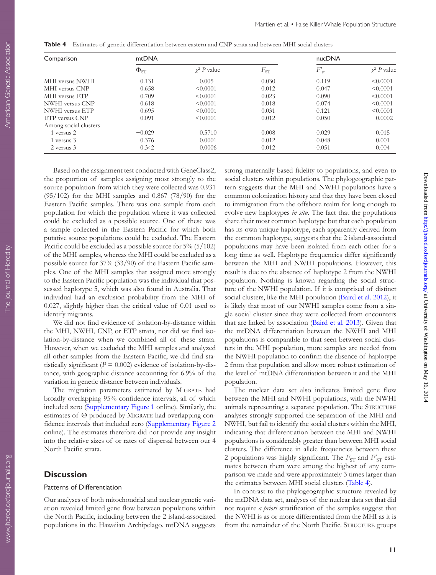<span id="page-10-0"></span>**Table 4** Estimates of genetic differentiation between eastern and CNP strata and between MHI social clusters

| Comparison            | mtDNA       |                  |          | nucDNA        |                 |
|-----------------------|-------------|------------------|----------|---------------|-----------------|
|                       | $\Phi_{ST}$ | $\chi^2$ P value | $F_{ST}$ | $F_{\rm st}'$ | $\nu^2$ P value |
| MHI versus NWHI       | 0.131       | 0.005            | 0.030    | 0.119         | < 0.0001        |
| MHI versus CNP        | 0.658       | < 0.0001         | 0.012    | 0.047         | < 0.0001        |
| MHI versus ETP        | 0.709       | < 0.0001         | 0.023    | 0.090         | < 0.0001        |
| NWHI versus CNP       | 0.618       | < 0.0001         | 0.018    | 0.074         | < 0.0001        |
| NWHI versus ETP       | 0.695       | < 0.0001         | 0.031    | 0.121         | < 0.0001        |
| ETP versus CNP        | 0.091       | < 0.0001         | 0.012    | 0.050         | 0.0002          |
| Among social clusters |             |                  |          |               |                 |
| versus 2              | $-0.029$    | 0.5710           | 0.008    | 0.029         | 0.015           |
| 1 versus 3            | 0.376       | 0.0001           | 0.012    | 0.048         | 0.001           |
| 2 versus 3            | 0.342       | 0.0006           | 0.012    | 0.051         | 0.004           |

Downloaded from http://jhered.oxfordjournals.org/ at University of Washington on May 16, 2014 Downloaded from <http://jhered.oxfordjournals.org/> at University of Washington on May 16, 2014

American Genetic Association

Based on the assignment test conducted with GeneClass2, the proportion of samples assigning most strongly to the source population from which they were collected was 0.931 (95/102) for the MHI samples and 0.867 (78/90) for the Eastern Pacific samples. There was one sample from each population for which the population where it was collected could be excluded as a possible source. One of these was a sample collected in the Eastern Pacific for which both putative source populations could be excluded. The Eastern Pacific could be excluded as a possible source for 5% (5/102) of the MHI samples, whereas the MHI could be excluded as a possible source for 37% (33/90) of the Eastern Pacific samples. One of the MHI samples that assigned more strongly to the Eastern Pacific population was the individual that possessed haplotype 5, which was also found in Australia. That individual had an exclusion probability from the MHI of 0.027, slightly higher than the critical value of 0.01 used to identify migrants.

We did not find evidence of isolation-by-distance within the MHI, NWHI, CNP, or ETP strata, nor did we find isolation-by-distance when we combined all of these strata. However, when we excluded the MHI samples and analyzed all other samples from the Eastern Pacific, we did find statistically significant ( $P = 0.002$ ) evidence of isolation-by-distance, with geographic distance accounting for 6.9% of the variation in genetic distance between individuals.

The migration parameters estimated by MIGRATE had broadly overlapping 95% confidence intervals, all of which included zero ([Supplementary Figure](http://jhered.oxfordjournals.org/lookup/suppl/doi:10.1093/jhered/esu029/-/DC1) 1 online). Similarly, the estimates of Θ produced by Migrate had overlapping confidence intervals that included zero [\(Supplementary Figure](http://jhered.oxfordjournals.org/lookup/suppl/doi:10.1093/jhered/esu029/-/DC1) 2 online). The estimates therefore did not provide any insight into the relative sizes of or rates of dispersal between our 4 North Pacific strata.

## **Discussion**

#### Patterns of Differentiation

Our analyses of both mitochondrial and nuclear genetic variation revealed limited gene flow between populations within the North Pacific, including between the 2 island-associated populations in the Hawaiian Archipelago. mtDNA suggests

strong maternally based fidelity to populations, and even to social clusters within populations. The phylogeographic pattern suggests that the MHI and NWHI populations have a common colonization history and that they have been closed to immigration from the offshore realm for long enough to evolve new haplotypes *in situ*. The fact that the populations share their most common haplotype but that each population has its own unique haplotype, each apparently derived from the common haplotype, suggests that the 2 island-associated populations may have been isolated from each other for a long time as well. Haplotype frequencies differ significantly between the MHI and NWHI populations. However, this result is due to the absence of haplotype 2 from the NWHI population. Nothing is known regarding the social structure of the NWHI population. If it is comprised of distinct social clusters, like the MHI population ([Baird et](#page-13-6) al. 2012), it is likely that most of our NWHI samples come from a single social cluster since they were collected from encounters that are linked by association ([Baird et](#page-13-3) al. 2013). Given that the mtDNA differentiation between the NWHI and MHI populations is comparable to that seen between social clusters in the MHI population, more samples are needed from the NWHI population to confirm the absence of haplotype 2 from that population and allow more robust estimation of the level of mtDNA differentiation between it and the MHI population.

The nuclear data set also indicates limited gene flow between the MHI and NWHI populations, with the NWHI animals representing a separate population. The STRUCTURE analyses strongly supported the separation of the MHI and NWHI, but fail to identify the social clusters within the MHI, indicating that differentiation between the MHI and NWHI populations is considerably greater than between MHI social clusters. The difference in allele frequencies between these 2 populations was highly significant. The *F*<sub>ST</sub> and *F'*<sub>ST</sub> estimates between them were among the highest of any comparison we made and were approximately 3 times larger than the estimates between MHI social clusters ([Table](#page-10-0) 4).

In contrast to the phylogeographic structure revealed by the mtDNA data set, analyses of the nuclear data set that did not require *a priori* stratification of the samples suggest that the NWHI is as or more differentiated from the MHI as it is from the remainder of the North Pacific. STRUCTURE groups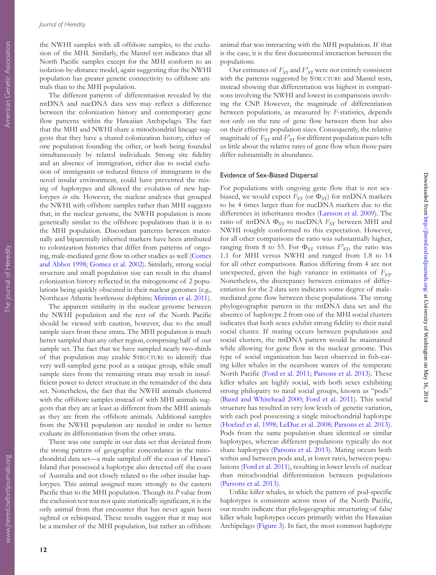the NWHI samples with all offshore samples, to the exclusion of the MHI. Similarly, the Mantel test indicates that all North Pacific samples except for the MHI conform to an isolation-by-distance model, again suggesting that the NWHI population has greater genetic connectivity to offshore animals than to the MHI population.

The different patterns of differentiation revealed by the mtDNA and nucDNA data sets may reflect a difference between the colonization history and contemporary gene flow patterns within the Hawaiian Archipelago. The fact that the MHI and NWHI share a mitochondrial lineage suggests that they have a shared colonization history, either of one population founding the other, or both being founded simultaneously by related individuals. Strong site fidelity and an absence of immigration, either due to social exclusion of immigrants or reduced fitness of immigrants in the novel insular environment, could have prevented the mixing of haplotypes and allowed the evolution of new haplotypes *in situ*. However, the nuclear analyses that grouped the NWHI with offshore samples rather than MHI suggests that, in the nuclear genome, the NWHI population is more genetically similar to the offshore populations than it is to the MHI population. Discordant patterns between maternally and biparentally inherited markers have been attributed to colonization histories that differ from patterns of ongoing, male-mediated gene flow in other studies as well [\(Comes](#page-13-15) [and Abbot 1998](#page-13-15); [Gomez et](#page-14-0) al. 2002). Similarly, strong social structure and small population size can result in the shared colonization history reflected in the mitogenome of 2 populations being quickly obscured in their nuclear genomes (e.g., Northeast Atlantic bottlenose dolphins; [Mirimin et](#page-14-31) al. 2011).

The apparent similarity in the nuclear genome between the NWHI population and the rest of the North Pacific should be viewed with caution, however, due to the small sample sizes from these strata. The MHI population is much better sampled than any other region, comprising half of our sample set. The fact that we have sampled nearly two-thirds of that population may enable STRUCTURE to identify that very well-sampled gene pool as a unique group, while small sample sizes from the remaining strata may result in insufficient power to detect structure in the remainder of the data set. Nonetheless, the fact that the NWHI animals clustered with the offshore samples instead of with MHI animals suggests that they are at least as different from the MHI animals as they are from the offshore animals. Additional samples from the NWHI population are needed in order to better evaluate its differentiation from the other strata.

There was one sample in our data set that deviated from the strong pattern of geographic concordance in the mitochondrial data set—a male sampled off the coast of Hawai'i Island that possessed a haplotype also detected off the coast of Australia and not closely related to the other insular haplotypes. This animal assigned more strongly to the eastern Pacific than to the MHI population. Though its *P* value from the exclusion test was not quite statistically significant, it is the only animal from that encounter that has never again been sighted or rebiopsied. These results suggest that it may not be a member of the MHI population, but rather an offshore

animal that was interacting with the MHI population. If that is the case, it is the first documented interaction between the populations.

Our estimates of  $F_{ST}$  and  $F'_{ST}$  were not entirely consistent with the patterns suggested by STRUCTURE and Mantel tests, instead showing that differentiation was highest in comparisons involving the NWHI and lowest in comparisons involving the CNP. However, the magnitude of differentiation between populations, as measured by *F*-statistics, depends not only on the rate of gene flow between them but also on their effective population sizes. Consequently, the relative magnitude of  $F_{ST}$  and  $F'_{ST}$  for different population pairs tells us little about the relative rates of gene flow when those pairs differ substantially in abundance.

#### Evidence of Sex-Biased Dispersal

For populations with ongoing gene flow that is not sexbiased, we would expect  $F_{ST}$  (or  $\Phi_{ST}$ ) for mtDNA markers to be 4 times larger than for nucDNA markers due to the differences in inheritance modes ([Larsson et](#page-14-32) al. 2009). The ratio of mtDNA  $\Phi_{ST}$  to nucDNA  $F_{ST}$  between MHI and NWHI roughly conformed to this expectation. However, for all other comparisons the ratio was substantially higher, ranging from 8 to 55. For  $\Phi_{ST}$  versus  $F'_{ST}$ , the ratio was 1.1 for MHI versus NWHI and ranged from 1.8 to 14 for all other comparisons. Ratios differing from 4 are not unexpected, given the high variance in estimates of  $F_{ST}$ . Nonetheless, the discrepancy between estimates of differentiation for the 2 data sets indicates some degree of malemediated gene flow between these populations. The strong phylogeographic pattern in the mtDNA data set and the absence of haplotype 2 from one of the MHI social clusters indicates that both sexes exhibit strong fidelity to their natal social cluster. If mating occurs between populations and social clusters, the mtDNA pattern would be maintained while allowing for gene flow in the nuclear genome. This type of social organization has been observed in fish-eating killer whales in the nearshore waters of the temperate North Pacific (Ford et [al. 2011](#page-14-33); [Parsons et](#page-15-33) al. 2013). These killer whales are highly social, with both sexes exhibiting strong philopatry to natal social groups, known as "pods" ([Baird and Whitehead 2000](#page-13-16); Ford et [al. 2011](#page-14-33)). This social structure has resulted in very low levels of genetic variation, with each pod possessing a single mitochondrial haplotype ([Hoelzel et](#page-14-6) al. 1998; [LeDuc et](#page-14-34) al. 2008; [Parsons et](#page-15-33) al. 2013). Pods from the same population share identical or similar haplotypes, whereas different populations typically do not share haplotypes [\(Parsons et](#page-15-33) al. 2013). Mating occurs both within and between pods and, at lower rates, between populations (Ford et [al. 2011](#page-14-33)), resulting in lower levels of nuclear than mitochondrial differentiation between populations ([Parsons et](#page-15-33) al. 2013).

Unlike killer whales, in which the pattern of pod-specific haplotypes is consistent across most of the North Pacific, our results indicate that phylogeographic structuring of false killer whale haplotypes occurs primarily within the Hawaiian Archipelago [\(Figure](#page-7-0) 3). In fact, the most common haplotype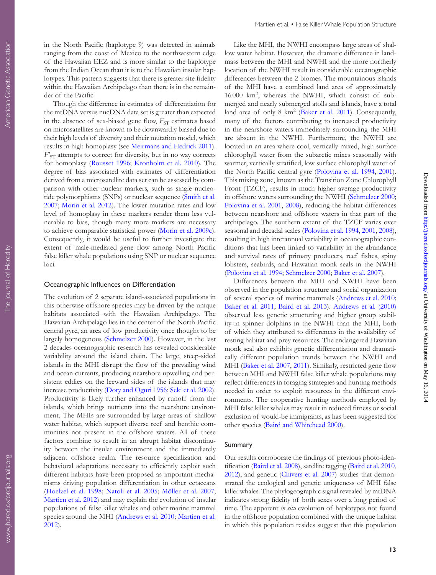in the North Pacific (haplotype 9) was detected in animals ranging from the coast of Mexico to the northwestern edge of the Hawaiian EEZ and is more similar to the haplotype from the Indian Ocean than it is to the Hawaiian insular haplotypes. This pattern suggests that there is greater site fidelity within the Hawaiian Archipelago than there is in the remainder of the Pacific.

Though the difference in estimates of differentiation for the mtDNA versus nucDNA data set is greater than expected in the absence of sex-biased gene flow, *F<sub>ST</sub>* estimates based on microsatellites are known to be downwardly biased due to their high levels of diversity and their mutation model, which results in high homoplasy (see [Meirmans and Hedrick 2011\)](#page-14-35). *F'*<sub>ST</sub> attempts to correct for diversity, but in no way corrects for homoplasy ([Rousset 1996](#page-15-34); [Kronholm et](#page-14-36) al. 2010). The degree of bias associated with estimates of differentiation derived from a microsatellite data set can be assessed by comparison with other nuclear markers, such as single nucleotide polymorphisms (SNPs) or nuclear sequence ([Smith et](#page-15-35) al. [2007;](#page-15-35) [Morin et](#page-14-37) al. 2012). The lower mutation rates and low level of homoplasy in these markers render them less vulnerable to bias, though many more markers are necessary to achieve comparable statistical power (Morin et [al. 2009c](#page-14-38)). Consequently, it would be useful to further investigate the extent of male-mediated gene flow among North Pacific false killer whale populations using SNP or nuclear sequence loci.

#### Oceanographic Influences on Differentiation

The evolution of 2 separate island-associated populations in this otherwise offshore species may be driven by the unique habitats associated with the Hawaiian Archipelago. The Hawaiian Archipelago lies in the center of the North Pacific central gyre, an area of low productivity once thought to be largely homogenous ([Schmelzer 2000\)](#page-15-36). However, in the last 2 decades oceanographic research has revealed considerable variability around the island chain. The large, steep-sided islands in the MHI disrupt the flow of the prevailing wind and ocean currents, producing nearshore upwelling and persistent eddies on the leeward sides of the islands that may increase productivity ([Doty and Oguri 1956](#page-13-17); Seki et [al. 2002\)](#page-15-37). Productivity is likely further enhanced by runoff from the islands, which brings nutrients into the nearshore environment. The MHIs are surrounded by large areas of shallow water habitat, which support diverse reef and benthic communities not present in the offshore waters. All of these factors combine to result in an abrupt habitat discontinuity between the insular environment and the immediately adjacent offshore realm. The resource specialization and behavioral adaptations necessary to efficiently exploit such different habitats have been proposed as important mechanisms driving population differentiation in other cetaceans ([Hoelzel et](#page-14-6) al. 1998; [Natoli et](#page-14-39) al. 2005; [Möller et](#page-14-40) al. 2007; [Martien et](#page-14-8) al. 2012) and may explain the evolution of insular populations of false killer whales and other marine mammal species around the MHI [\(Andrews et](#page-13-18) al. 2010; [Martien et](#page-14-8) al. [2012\)](#page-14-8).

Like the MHI, the NWHI encompass large areas of shallow water habitat. However, the dramatic difference in landmass between the MHI and NWHI and the more northerly location of the NWHI result in considerable oceanographic differences between the 2 biomes. The mountainous islands of the MHI have a combined land area of approximately 16 000 km2, whereas the NWHI, which consist of submerged and nearly submerged atolls and islands, have a total land area of only 8 km2 ([Baker et](#page-13-19) al. 2011). Consequently, many of the factors contributing to increased productivity in the nearshore waters immediately surrounding the MHI are absent in the NWHI. Furthermore, the NWHI are located in an area where cool, vertically mixed, high surface chlorophyll water from the subarctic mixes seasonally with warmer, vertically stratified, low surface chlorophyll water of the North Pacific central gyre ([Polovina et](#page-15-38) al. 1994, [2001\)](#page-15-39). This mixing zone, known as the Transition Zone Chlorophyll Front (TZCF), results in much higher average productivity in offshore waters surrounding the NWHI ([Schmelzer 2000;](#page-15-36) [Polovina et](#page-15-39) al. 2001, [2008](#page-15-40)), reducing the habitat differences between nearshore and offshore waters in that part of the archipelago. The southern extent of the TZCF varies over seasonal and decadal scales ([Polovina et](#page-15-38) al. 1994, [2001,](#page-15-39) [2008\)](#page-15-40), resulting in high interannual variability in oceanographic conditions that has been linked to variability in the abundance and survival rates of primary producers, reef fishes, spiny lobsters, seabirds, and Hawaiian monk seals in the NWHI ([Polovina et](#page-15-38) al. 1994; [Schmelzer 2000](#page-15-36); [Baker et](#page-13-20) al. 2007).

Differences between the MHI and NWHI have been observed in the population structure and social organization of several species of marine mammals ([Andrews et](#page-13-18) al. 2010; [Baker et](#page-13-19) al. 2011; [Baird et](#page-13-3) al. 2013). [Andrews et](#page-13-18) al. (2010) observed less genetic structuring and higher group stability in spinner dolphins in the NWHI than the MHI, both of which they attributed to differences in the availability of resting habitat and prey resources. The endangered Hawaiian monk seal also exhibits genetic differentiation and dramatically different population trends between the NWHI and MHI ([Baker et](#page-13-20) al. 2007, [2011\)](#page-13-19). Similarly, restricted gene flow between MHI and NWHI false killer whale populations may reflect differences in foraging strategies and hunting methods needed in order to exploit resources in the different environments. The cooperative hunting methods employed by MHI false killer whales may result in reduced fitness or social exclusion of would-be immigrants, as has been suggested for other species ([Baird and Whitehead 2000](#page-13-16)).

#### Summary

Our results corroborate the findings of previous photo-identification ([Baird et](#page-13-1) al. 2008), satellite tagging ([Baird et](#page-13-2) al. 2010, [2012\)](#page-13-6), and genetic [\(Chivers et](#page-13-0) al. 2007) studies that demonstrated the ecological and genetic uniqueness of MHI false killer whales. The phylogeographic signal revealed by mtDNA indicates strong fidelity of both sexes over a long period of time. The apparent *in situ* evolution of haplotypes not found in the offshore population combined with the unique habitat in which this population resides suggest that this population

Downloaded from <http://jhered.oxfordjournals.org/> at University of Washington on May 16, 2014

Downloaded from http://jhered.oxfordjournals.org/ at University of Washington on May 16, 2014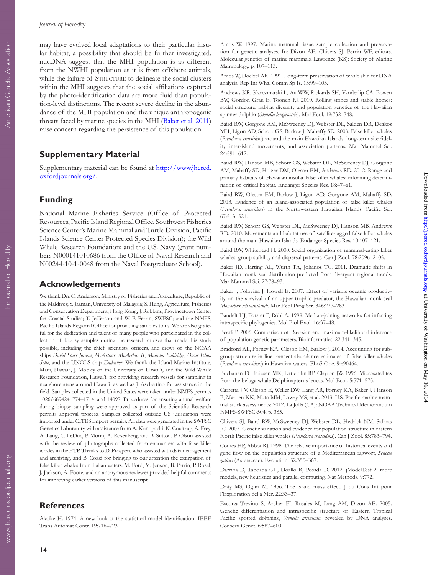#### *Journal of Heredity*

may have evolved local adaptations to their particular insular habitat, a possibility that should be further investigated. nucDNA suggest that the MHI population is as different from the NWHI population as it is from offshore animals, while the failure of STRUCTURE to delineate the social clusters within the MHI suggests that the social affiliations captured by the photo-identification data are more fluid than population-level distinctions. The recent severe decline in the abundance of the MHI population and the unique anthropogenic threats faced by marine species in the MHI [\(Baker et](#page-13-19) al. 2011) raise concern regarding the persistence of this population.

## **Supplementary Material**

Supplementary material can be found at [http://www.jhered.](http://jhered.oxfordjournals.org/lookup/suppl/doi:10.1093/jhered/esu029/-/DC1) [oxfordjournals.org/](http://jhered.oxfordjournals.org/lookup/suppl/doi:10.1093/jhered/esu029/-/DC1).

## **Funding**

National Marine Fisheries Service (Office of Protected Resources, Pacific Island Regional Office, Southwest Fisheries Science Center's Marine Mammal and Turtle Division, Pacific Islands Science Center Protected Species Division); the Wild Whale Research Foundation; and the U.S. Navy (grant numbers N000141010686 from the Office of Naval Research and N00244-10-1-0048 from the Naval Postgraduate School).

## **Acknowledgements**

We thank Drs C. Anderson, Ministry of Fisheries and Agriculture, Republic of the Maldives; S. Jaaman, University of Malaysia; S. Hung, Agriculture, Fisheries and Conservation Department, Hong Kong; J. Robbins, Provincetown Center for Coastal Studies; T. Jefferson and W. F. Perrin, SWFSC; and the NMFS, Pacific Islands Regional Office for providing samples to us. We are also grateful for the dedication and talent of many people who participated in the collection of biopsy samples during the research cruises that made this study possible, including the chief scientists, officers, and crews of the NOAA ships *David Starr Jordan*, *McArthur*, *McArthur II*, *Malcolm Baldridge*, *Oscar Elton Sette*, and the UNOLS ship *Endeavor*. We thank the Island Marine Institute, Maui, Hawai'i, J. Mobley of the University of Hawai'i, and the Wild Whale Research Foundation, Hawai'i, for providing research vessels for sampling in nearshore areas around Hawai'i, as well as J. Aschettino for assistance in the field. Samples collected in the United States were taken under NMFS permits 1026/689424, 774–1714, and 14097. Procedures for ensuring animal welfare during biopsy sampling were approved as part of the Scientific Research permits approval process. Samples collected outside US jurisdiction were imported under CITES Import permits. All data were generated in the SWFSC Genetics Laboratory with assistance from A. Konopacki, K. Coultrup, A. Frey, A. Lang, C. LeDuc, P. Morin, A. Rosenberg, and B. Sutton. P. Olson assisted with the review of photographs collected from encounters with false killer whales in the ETP. Thanks to D. Prosperi, who assisted with data management and archiving, and B. Cozzi for bringing to our attention the extirpation of false killer whales from Italian waters. M. Ford, M. Jenson, B. Perrin, P. Rosel, J. Jackson, A. Foote, and an anonymous reviewer provided helpful comments for improving earlier versions of this manuscript.

## **References**

<span id="page-13-10"></span>Akaike H. 1974. A new look at the statistical model identification. IEEE Trans Automat Contr. 19:716–723.

<span id="page-13-8"></span>Amos W. 1997. Marine mammal tissue sample collection and preservation for genetic analyses. In: Dizon AE, Chivers SJ, Perrin WF, editors. Molecular genetics of marine mammals. Lawrence (KS): Society of Marine Mammalogy. p. 107–113.

<span id="page-13-7"></span>Amos W, Hoelzel AR. 1991. Long-term preservation of whale skin for DNA analysis. Rep Int Whal Comm Sp Is. 13:99–103.

<span id="page-13-18"></span>Andrews KR, Karczmarski L, Au WW, Rickards SH, Vanderlip CA, Bowen BW, Gordon Grau E, Toonen RJ. 2010. Rolling stones and stable homes: social structure, habitat diversity and population genetics of the Hawaiian spinner dolphin (*Stenella longirostris*). Mol Ecol. 19:732–748.

<span id="page-13-1"></span>Baird RW, Gorgone AM, McSweeney DJ, Webster DL, Salden DR, Deakos MH, Ligon AD, Schorr GS, Barlow J, Mahaffy SD. 2008. False killer whales (*Pseudorca crassidens*) around the main Hawaiian Islands: long-term site fidelity, inter-island movements, and association patterns. Mar Mammal Sci. 24:591–612.

<span id="page-13-6"></span>Baird RW, Hanson MB, Schorr GS, Webster DL, McSweeney DJ, Gorgone AM, Mahaffy SD, Holzer DM, Oleson EM, Andrews RD. 2012. Range and primary habitats of Hawaiian insular false killer whales: informing determination of critical habitat. Endanger Species Res. 18:47–61.

<span id="page-13-3"></span>Baird RW, Oleson EM, Barlow J, Ligon AD, Gorgone AM, Mahaffy SD. 2013. Evidence of an island-associated population of false killer whales (*Pseudorca crassidens*) in the Northwestern Hawaiian Islands. Pacific Sci. 67:513–521.

<span id="page-13-2"></span>Baird RW, Schorr GS, Webster DL, McSweeney DJ, Hanson MB, Andrews RD. 2010. Movements and habitat use of satellite-tagged false killer whales around the main Hawaiian Islands. Endanger Species Res. 10:107–121.

<span id="page-13-16"></span>Baird RW, Whitehead H. 2000. Social organization of mammal-eating killer whales: group stability and dispersal patterns. Can J Zool. 78:2096–2105.

<span id="page-13-19"></span>Baker JD, Harting AL, Wurth TA, Johanos TC. 2011. Dramatic shifts in Hawaiian monk seal distribution predicted from divergent regional trends. Mar Mammal Sci. 27:78–93.

<span id="page-13-20"></span>Baker J, Polovina J, Howell E. 2007. Effect of variable oceanic productivity on the survival of an upper trophic predator, the Hawaiian monk seal *Monachus schauinslandi*. Mar Ecol Prog Ser. 346:277–283.

<span id="page-13-12"></span>Bandelt HJ, Forster P, Röhl A. 1999. Median-joining networks for inferring intraspecific phylogenies. Mol Biol Evol. 16:37–48.

<span id="page-13-13"></span>Beerli P. 2006. Comparison of Bayesian and maximum-likelihood inference of population genetic parameters. Bioinformatics. 22:341–345.

<span id="page-13-4"></span>Bradford AL, Forney KA, Oleson EM, Barlow J. 2014. Accounting for subgroup structure in line-transect abundance estimates of false killer whales (*Pseudorca crassidens*) in Hawaiian waters. PLoS One. 9:e90464.

<span id="page-13-9"></span>Buchanan FC, Friesen MK, Littlejohn RP, Clayton JW. 1996. Microsatellites from the beluga whale Delphinapterus leucas. Mol Ecol. 5:571–575.

<span id="page-13-5"></span>Carretta J V, Oleson E, Weller DW, Lang AR, Forney KA, Baker J, Hanson B, Martien KK, Muto MM, Lowry MS, et al. 2013. U.S. Pacific marine mammal stock assessments: 2012. La Jolla (CA): NOAA Technical Memorandum NMFS-SWFSC-504. p. 385.

<span id="page-13-0"></span>Chivers SJ, Baird RW, McSweeney DJ, Webster DL, Hedrick NM, Salinas JC. 2007. Genetic variation and evidence for population structure in eastern North Pacific false killer whales (*Pseudorca crassidens*). Can J Zool. 85:783–794.

<span id="page-13-15"></span>Comes HP, Abbot RJ. 1998. The relative importance of historical events and gene flow on the population structure of a Mediterranean ragwort, *Senecio galicus* (Asteraceae). Evolution. 52:355–367.

<span id="page-13-11"></span>Darriba D, Taboada GL, Doallo R, Posada D. 2012. jModelTest 2: more models, new heuristics and parallel computing. Nat Methods. 9:772.

<span id="page-13-17"></span>Doty MS, Oguri M. 1956. The island mass effect. J du Cons Int pour l'Exploration del a Mer. 22:33–37.

<span id="page-13-14"></span>Escorza-Trevino S, Archer FI, Rosales M, Lang AM, Dizon AE. 2005. Genetic differentiation and intraspecific structure of Eastern Tropical Pacific spotted dolphins, *Stenella attenuata*, revealed by DNA analyses. Conserv Genet. 6:587–600.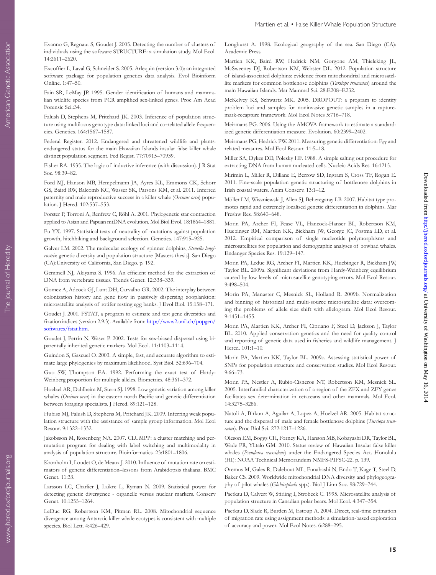www.jhered.oxfordjournals.org

<span id="page-14-26"></span>Evanno G, Regnaut S, Goudet J. 2005. Detecting the number of clusters of individuals using the software STRUCTURE: a simulation study. Mol Ecol. 14:2611–2620.

<span id="page-14-17"></span>Excoffier L, Laval G, Schneider S. 2005. Arlequin (version 3.0): an integrated software package for population genetics data analysis. Evol Bioinform Online. 1:47–50.

<span id="page-14-10"></span>Fain SR, LeMay JP. 1995. Gender identification of humans and mammalian wildlife species from PCR amplified sex-linked genes. Proc Am Acad Forensic Sci.:34.

<span id="page-14-24"></span>Falush D, Stephens M, Pritchard JK. 2003. Inference of population structure using multilocus genotype data: linked loci and correlated allele frequencies. Genetics. 164:1567–1587.

<span id="page-14-2"></span>Federal Register. 2012. Endangered and threatened wildlife and plants: endangered status for the main Hawaiian Islands insular false killer whale distinct population segment. Fed Regist. 77:70915–70939.

<span id="page-14-14"></span>Fisher RA. 1935. The logic of inductive inference (with discussion). J R Stat Soc. 98:39–82.

<span id="page-14-33"></span>Ford MJ, Hanson MB, Hempelmann JA, Ayres KL, Emmons CK, Schorr GS, Baird RW, Balcomb KC, Wasser SK, Parsons KM, et al. 2011. Inferred paternity and male reproductive success in a killer whale (*Orcinus orca*) population. J Hered. 102:537–553.

<span id="page-14-21"></span>Forster P, Torroni A, Renfrew C, Röhl A. 2001. Phylogenetic star contraction applied to Asian and Papuan mtDNA evolution. Mol Biol Evol. 18:1864–1881.

<span id="page-14-18"></span>Fu YX. 1997. Statistical tests of neutrality of mutations against population growth, hitchhiking and background selection. Genetics. 147:915–925.

<span id="page-14-7"></span>Galver LM. 2002. The molecular ecology of spinner dolphins, *Stenella longirostris*: genetic diversity and population structure [Masters thesis]. San Diego (CA):University of California, San Diego. p. 192.

<span id="page-14-4"></span>Gemmell NJ, Akiyama S. 1996. An efficient method for the extraction of DNA from vertebrate tissues. Trends Genet. 12:338–339.

<span id="page-14-0"></span>Gomez A, Adcock GJ, Lunt DH, Carvalho GR. 2002. The interplay between colonization history and gene flow in passively dispersing zooplankton: microsatellite analysis of rotifer resting egg banks. J Evol Biol. 15:158–171.

<span id="page-14-19"></span>Goudet J. 2001. FSTAT, a program to estimate and test gene diversities and fixation indices (version 2.9.3). Available from: [http://www2.unil.ch/popgen/](http://www2.unil.ch/popgen/softwares/fstat.htm ) [softwares/fstat.htm.](http://www2.unil.ch/popgen/softwares/fstat.htm )

<span id="page-14-23"></span>Goudet J, Perrin N, Waser P. 2002. Tests for sex-biased dispersal using biparentally inherited genetic markers. Mol Ecol. 11:1103–1114.

<span id="page-14-20"></span>Guindon S, Gascuel O. 2003. A simple, fast, and accurate algorithm to estimate large phylogenies by maximum likelihood. Syst Biol. 52:696–704.

<span id="page-14-13"></span>Guo SW, Thompson EA. 1992. Performing the exact test of Hardy-Weinberg proportion for multiple alleles. Biometrics. 48:361–372.

<span id="page-14-6"></span>Hoelzel AR, Dahlheim M, Stern SJ. 1998. Low genetic variation among killer whales (*Orcinus orca*) in the eastern north Pacific and genetic differentiation between foraging specialists. J Hered. 89:121–128.

<span id="page-14-25"></span>Hubisz MJ, Falush D, Stephens M, Pritchard JK. 2009. Inferring weak population structure with the assistance of sample group information. Mol Ecol Resour. 9:1322–1332.

<span id="page-14-27"></span>Jakobsson M, Rosenberg NA. 2007. CLUMPP: a cluster matching and permutation program for dealing with label switching and multimodality in analysis of population structure. Bioinformatics. 23:1801–1806.

<span id="page-14-36"></span>Kronholm I, Loudet O, de Meaux J. 2010. Influence of mutation rate on estimators of genetic differentiation–lessons from Arabidopsis thaliana. BMC Genet. 11:33.

<span id="page-14-32"></span>Larsson LC, Charlier J, Laikre L, Ryman N. 2009. Statistical power for detecting genetic divergence - organelle versus nuclear markers. Conserv Genet. 10:1255–1264.

<span id="page-14-34"></span>LeDuc RG, Robertson KM, Pitman RL. 2008. Mitochondrial sequence divergence among Antarctic killer whale ecotypes is consistent with multiple species. Biol Lett. 4:426–429.

<span id="page-14-3"></span>Longhurst A. 1998. Ecological geography of the sea. San Diego (CA): Academic Press.

<span id="page-14-8"></span>Martien KK, Baird RW, Hedrick NM, Gorgone AM, Thieleking JL, McSweeney DJ, Robertson KM, Webster DL. 2012. Population structure of island-associated dolphins: evidence from mitochondrial and microsatellite markers for common bottlenose dolphins (*Tursiops truncatus*) around the main Hawaiian Islands. Mar Mammal Sci. 28:E208–E232.

<span id="page-14-16"></span>McKelvey KS, Schwartz MK. 2005. DROPOUT: a program to identify problem loci and samples for noninvasive genetic samples in a capturemark-recapture framework. Mol Ecol Notes 5:716–718.

<span id="page-14-22"></span>Meirmans PG. 2006. Using the AMOVA framework to estimate a standardized genetic differentiation measure. Evolution. 60:2399–2402.

<span id="page-14-35"></span>Meirmans PG, Hedrick PW. 2011. Measuring genetic differentiation: F<sub>ST</sub> and related measures. Mol Ecol Resour. 11:5–18.

<span id="page-14-5"></span>Miller SA, Dykes DD, Polesky HF. 1988. A simple salting out procedure for extracting DNA from human nucleated cells. Nucleic Acids Res. 16:1215.

<span id="page-14-31"></span>Mirimin L, Miller R, Dillane E, Berrow SD, Ingram S, Cross TF, Rogan E. 2011. Fine-scale population genetic structuring of bottlenose dolphins in Irish coastal waters. Anim Conserv. 13:1–12.

<span id="page-14-40"></span>Möller LM, Wiszniewski J, Allen SJ, Beheregaray LB. 2007. Habitat type promotes rapid and extremely localised genetic differentiation in dolphins. Mar Freshw Res. 58:640–648.

<span id="page-14-37"></span>Morin PA, Archer FI, Pease VL, Hancock-Hanser BL, Robertson KM, Huebinger RM, Martien KK, Bickham JW, George JC, Postma LD, et al. 2012. Empirical comparison of single nucleotide polymorphisms and microsatellites for population and demographic analyses of bowhad whales. Endanger Species Res. 19:129–147.

<span id="page-14-15"></span>Morin PA, Leduc RG, Archer FI, Martien KK, Huebinger R, Bickham JW, Taylor BL. 2009a. Significant deviations from Hardy-Weinberg equilibrium caused by low levels of microsatellite genotyping errors. Mol Ecol Resour. 9:498–504.

<span id="page-14-9"></span>Morin PA, Manaster C, Mesnick SL, Holland R. 2009b. Normalization and binning of historical and multi-source microsatellite data: overcoming the problems of allele size shift with allelogram. Mol Ecol Resour. 9:1451–1455.

<span id="page-14-12"></span>Morin PA, Martien KK, Archer FI, Cipriano F, Steel D, Jackson J, Taylor BL. 2010. Applied conservation genetics and the need for quality control and reporting of genetic data used in fisheries and wildlife management. J Hered. 101:1–10.

<span id="page-14-38"></span>Morin PA, Martien KK, Taylor BL. 2009c. Assessing statistical power of SNPs for population structure and conservation studies. Mol Ecol Resour. 9:66–73.

<span id="page-14-11"></span>Morin PA, Nestler A, Rubio-Cisneros NT, Robertson KM, Mesnick SL. 2005. Interfamilial characterization of a region of the ZFX and ZFY genes facilitates sex determination in cetaceans and other mammals. Mol Ecol. 14:3275–3286.

<span id="page-14-39"></span>Natoli A, Birkun A, Aguilar A, Lopez A, Hoelzel AR. 2005. Habitat structure and the dispersal of male and female bottlenose dolphins (*Tursiops truncatus*). Proc Biol Sci. 272:1217–1226.

<span id="page-14-1"></span>Oleson EM, Boggs CH, Forney KA, Hanson MB, Kobayashi DR, Taylor BL, Wade PR, Ylitalo GM. 2010. Status review of Hawaiian Insular false killer whales (*Pseudorca crassidens*) under the Endangered Species Act. Honolulu (HI): NOAA Technical Memorandum NMFS-PIFSC-22. p. 139.

<span id="page-14-30"></span>Oremus M, Gales R, Dalebout ML, Funahashi N, Endo T, Kage T, Steel D, Baker CS. 2009. Worldwide mitochondrial DNA diversity and phylogeography of pilot whales (*Globicephala* spp.). Biol J Linn Soc. 98:729–744.

<span id="page-14-28"></span>Paetkau D, Calvert W, Stirling I, Strobeck C. 1995. Microsatellite analysis of population structure in Canadian polar bears. Mol Ecol. 4:347–354.

<span id="page-14-29"></span>Paetkau D, Slade R, Burden M, Estoup A. 2004. Direct, real-time estimation of migration rate using assignment methods: a simulation-based exploration of accuracy and power. Mol Ecol Notes. 6:288–295.

Downloaded from <http://jhered.oxfordjournals.org/> at University of Washington on May 16, 2014

Downloaded from http://jhered.oxfordjournals.org/ at University of Washington on May 16, 2014